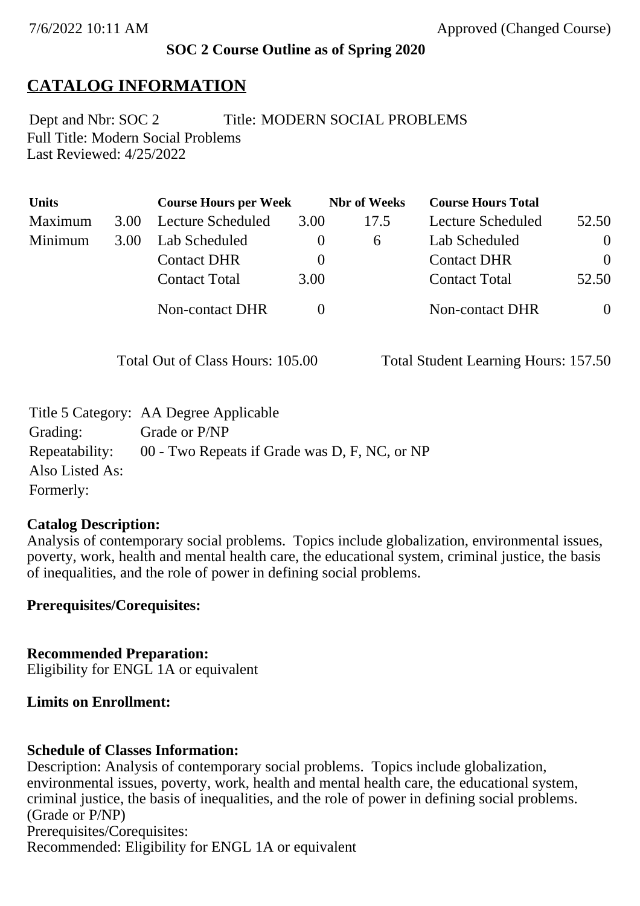### **SOC 2 Course Outline as of Spring 2020**

# **CATALOG INFORMATION**

Full Title: Modern Social Problems Last Reviewed: 4/25/2022 Dept and Nbr: SOC 2 Title: MODERN SOCIAL PROBLEMS

| <b>Units</b> |      | <b>Course Hours per Week</b> |          | <b>Nbr</b> of Weeks | <b>Course Hours Total</b> |          |
|--------------|------|------------------------------|----------|---------------------|---------------------------|----------|
| Maximum      | 3.00 | Lecture Scheduled            | 3.00     | 17.5                | Lecture Scheduled         | 52.50    |
| Minimum      | 3.00 | Lab Scheduled                | $\theta$ | 6                   | Lab Scheduled             | $\theta$ |
|              |      | <b>Contact DHR</b>           | $\theta$ |                     | <b>Contact DHR</b>        | $\Omega$ |
|              |      | <b>Contact Total</b>         | 3.00     |                     | <b>Contact Total</b>      | 52.50    |
|              |      | Non-contact DHR              |          |                     | <b>Non-contact DHR</b>    | $\theta$ |

Total Out of Class Hours: 105.00 Total Student Learning Hours: 157.50

|                 | Title 5 Category: AA Degree Applicable                       |
|-----------------|--------------------------------------------------------------|
| Grading:        | Grade or P/NP                                                |
|                 | Repeatability: 00 - Two Repeats if Grade was D, F, NC, or NP |
| Also Listed As: |                                                              |
| Formerly:       |                                                              |

#### **Catalog Description:**

Analysis of contemporary social problems. Topics include globalization, environmental issues, poverty, work, health and mental health care, the educational system, criminal justice, the basis of inequalities, and the role of power in defining social problems.

**Prerequisites/Corequisites:**

**Recommended Preparation:** Eligibility for ENGL 1A or equivalent

#### **Limits on Enrollment:**

### **Schedule of Classes Information:**

Description: Analysis of contemporary social problems. Topics include globalization, environmental issues, poverty, work, health and mental health care, the educational system, criminal justice, the basis of inequalities, and the role of power in defining social problems. (Grade or P/NP) Prerequisites/Corequisites: Recommended: Eligibility for ENGL 1A or equivalent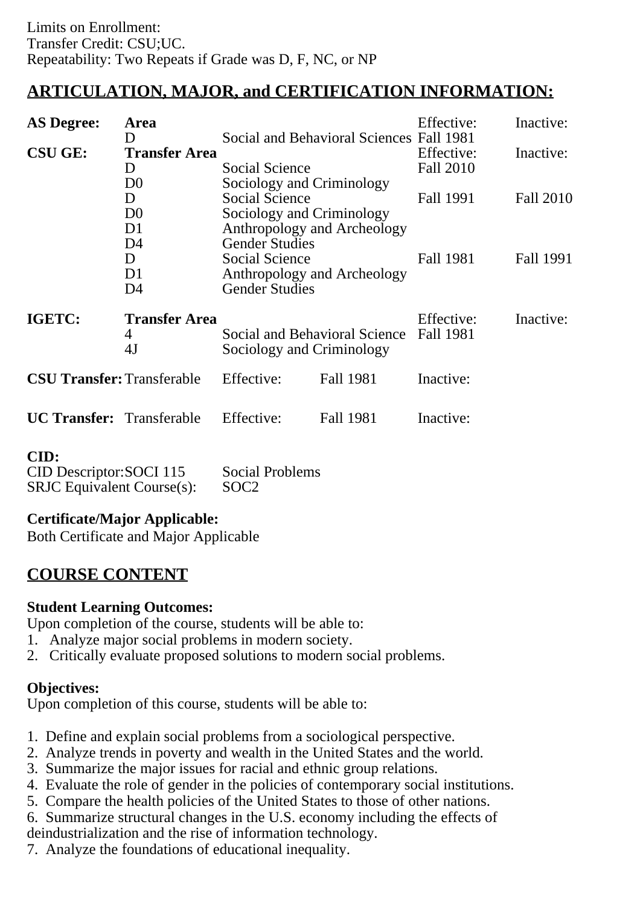# **ARTICULATION, MAJOR, and CERTIFICATION INFORMATION:**

| <b>AS Degree:</b>                 | Area<br>D                                                                                                              |                                                                                                                                         | Social and Behavioral Sciences Fall 1981 | Effective:              | Inactive:        |
|-----------------------------------|------------------------------------------------------------------------------------------------------------------------|-----------------------------------------------------------------------------------------------------------------------------------------|------------------------------------------|-------------------------|------------------|
| <b>CSU GE:</b>                    | <b>Transfer Area</b><br>D                                                                                              | <b>Social Science</b><br>Sociology and Criminology<br><b>Social Science</b><br>Sociology and Criminology<br>Anthropology and Archeology |                                          | Effective:<br>Fall 2010 | Inactive:        |
|                                   | D <sub>0</sub><br>D<br>D <sub>0</sub><br>D1                                                                            |                                                                                                                                         |                                          | Fall 1991               | <b>Fall 2010</b> |
|                                   | <b>Gender Studies</b><br>D4<br>Social Science<br>D<br>Anthropology and Archeology<br>D1<br><b>Gender Studies</b><br>D4 |                                                                                                                                         | Fall 1981                                | Fall 1991               |                  |
| IGETC:                            | <b>Transfer Area</b><br>4<br>4J                                                                                        | Sociology and Criminology                                                                                                               | Social and Behavioral Science            | Effective:<br>Fall 1981 | Inactive:        |
| <b>CSU Transfer: Transferable</b> |                                                                                                                        | Effective:                                                                                                                              | <b>Fall 1981</b>                         | Inactive:               |                  |
| <b>UC Transfer:</b> Transferable  |                                                                                                                        | Effective:                                                                                                                              | Fall 1981                                | Inactive:               |                  |

#### **CID:**

| ------                            |                        |
|-----------------------------------|------------------------|
| CID Descriptor: SOCI 115          | <b>Social Problems</b> |
| <b>SRJC</b> Equivalent Course(s): | SOC <sub>2</sub>       |

## **Certificate/Major Applicable:**

[Both Certificate and Major Applicable](SR_ClassCheck.aspx?CourseKey=SOC2)

# **COURSE CONTENT**

### **Student Learning Outcomes:**

Upon completion of the course, students will be able to:

- 1. Analyze major social problems in modern society.
- 2. Critically evaluate proposed solutions to modern social problems.

## **Objectives:**

Upon completion of this course, students will be able to:

- 1. Define and explain social problems from a sociological perspective.
- 2. Analyze trends in poverty and wealth in the United States and the world.
- 3. Summarize the major issues for racial and ethnic group relations.
- 4. Evaluate the role of gender in the policies of contemporary social institutions.
- 5. Compare the health policies of the United States to those of other nations.
- 6. Summarize structural changes in the U.S. economy including the effects of
- deindustrialization and the rise of information technology.
- 7. Analyze the foundations of educational inequality.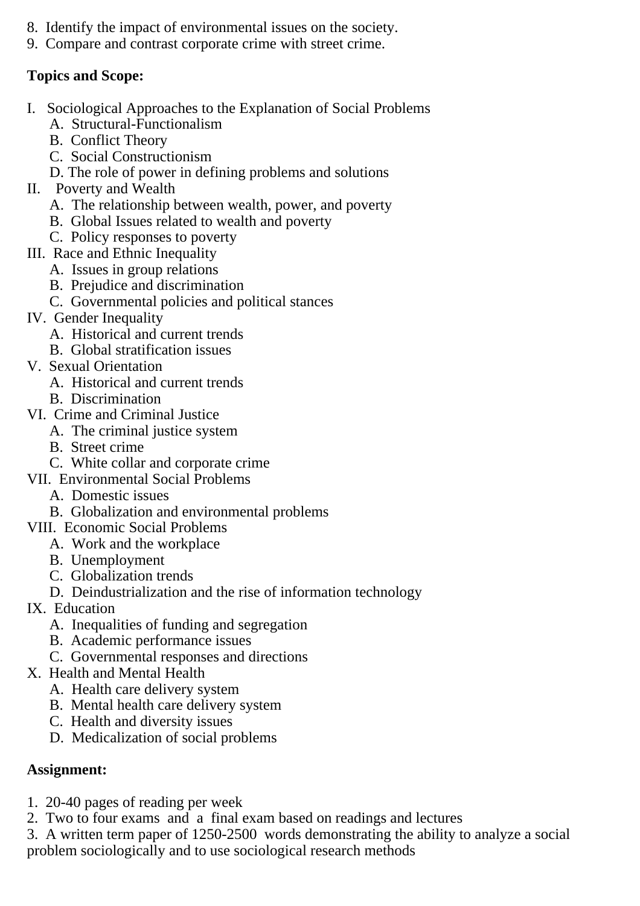- 8. Identify the impact of environmental issues on the society.
- 9. Compare and contrast corporate crime with street crime.

## **Topics and Scope:**

- I. Sociological Approaches to the Explanation of Social Problems
	- A. Structural-Functionalism
	- B. Conflict Theory
	- C. Social Constructionism
	- D. The role of power in defining problems and solutions
- II. Poverty and Wealth
	- A. The relationship between wealth, power, and poverty
	- B. Global Issues related to wealth and poverty
	- C. Policy responses to poverty
- III. Race and Ethnic Inequality
	- A. Issues in group relations
	- B. Prejudice and discrimination
	- C. Governmental policies and political stances
- IV. Gender Inequality
	- A. Historical and current trends
	- B. Global stratification issues
- V. Sexual Orientation
	- A. Historical and current trends
	- B. Discrimination
- VI. Crime and Criminal Justice
	- A. The criminal justice system
		- B. Street crime
		- C. White collar and corporate crime
- VII. Environmental Social Problems
	- A. Domestic issues
	- B. Globalization and environmental problems
- VIII. Economic Social Problems
	- A. Work and the workplace
		- B. Unemployment
		- C. Globalization trends
	- D. Deindustrialization and the rise of information technology
- IX. Education
	- A. Inequalities of funding and segregation
	- B. Academic performance issues
	- C. Governmental responses and directions
- X. Health and Mental Health
	- A. Health care delivery system
	- B. Mental health care delivery system
	- C. Health and diversity issues
	- D. Medicalization of social problems

## **Assignment:**

- 1. 20-40 pages of reading per week
- 2. Two to four exams and a final exam based on readings and lectures
- 3. A written term paper of 1250-2500 words demonstrating the ability to analyze a social problem sociologically and to use sociological research methods